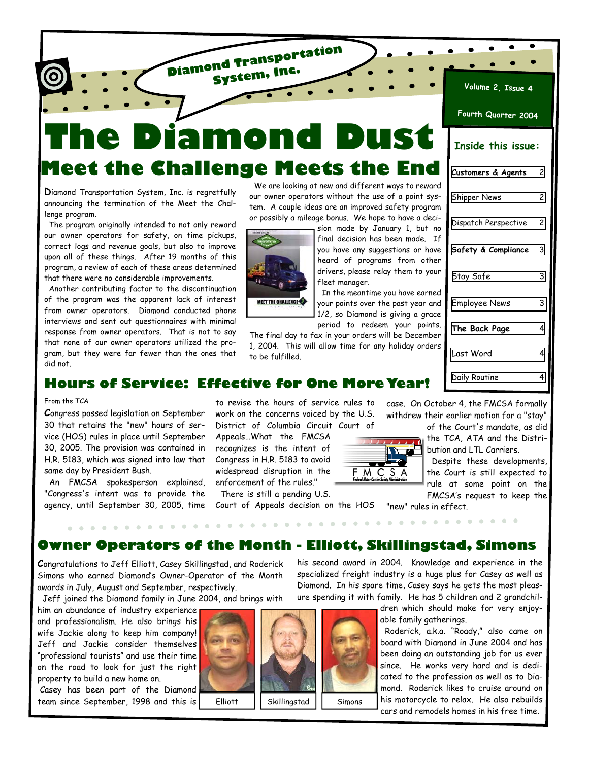**Mon Meet the Challenge Meets the End** 

**Diamond Transportation System, Inc.**

**D**iamond Transportation System, Inc. is regretfully announcing the termination of the Meet the Challenge program.

 The program originally intended to not only reward our owner operators for safety, on time pickups, correct logs and revenue goals, but also to improve upon all of these things. After 19 months of this program, a review of each of these areas determined that there were no considerable improvements.

 Another contributing factor to the discontinuation of the program was the apparent lack of interest from owner operators. Diamond conducted phone interviews and sent out questionnaires with minimal response from owner operators. That is not to say that none of our owner operators utilized the program, but they were far fewer than the ones that did not.

 We are looking at new and different ways to reward our owner operators without the use of a point system. A couple ideas are an improved safety program or possibly a mileage bonus. We hope to have a deci-



final decision has been made. If you have any suggestions or have heard of programs from other drivers, please relay them to your fleet manager.

sion made by January 1, but no

 In the meantime you have earned your points over the past year and 1/2, so Diamond is giving a grace period to redeem your points.

The final day to fax in your orders will be December 1, 2004. This will allow time for any holiday orders to be fulfilled.

| Fourth Quarter 2004  |   |
|----------------------|---|
| Inside this issue:   |   |
| Customers & Agents   | 2 |
| <b>Shipper News</b>  | 2 |
| Dispatch Perspective | 2 |
| Safety & Compliance  | 3 |
| Stay Safe            | 3 |
| <b>Employee News</b> | 3 |
| The Back Page        | 4 |
| Last Word            | 4 |
| Daily Routine        | 4 |

**Volume 2, Issue 4**

 $\bullet$ 

 $\bullet$ 

### **Hours of Service: Effective for One More Year!**

#### From the TCA

**C**ongress passed legislation on September 30 that retains the "new" hours of service (HOS) rules in place until September 30, 2005. The provision was contained in H.R. 5183, which was signed into law that same day by President Bush.

 An FMCSA spokesperson explained, "Congress's intent was to provide the agency, until September 30, 2005, time

to revise the hours of service rules to work on the concerns voiced by the U.S. District of Columbia Circuit Court of

Appeals…What the FMCSA recognizes is the intent of Congress in H.R. 5183 to avoid widespread disruption in the enforcement of the rules."

 There is still a pending U.S. Court of Appeals decision on the HOS

case. On October 4, the FMCSA formally withdrew their earlier motion for a "stay"

of the Court's mandate, as did the TCA, ATA and the Distribution and LTL Carriers.

 Despite these developments, the Court is still expected to rule at some point on the FMCSA's request to keep the

"new" rules in effect.

**Owner Operators of the Month - Elliott, Skillingstad, Simons** 

**C**ongratulations to Jeff Elliott, Casey Skillingstad, and Roderick Simons who earned Diamond's Owner-Operator of the Month awards in July, August and September, respectively.

Jeff joined the Diamond family in June 2004, and brings with

him an abundance of industry experience and professionalism. He also brings his wife Jackie along to keep him company! Jeff and Jackie consider themselves "professional tourists" and use their time on the road to look for just the right property to build a new home on.

 Casey has been part of the Diamond team since September, 1998 and this is



his second award in 2004. Knowledge and experience in the specialized freight industry is a huge plus for Casey as well as Diamond. In his spare time, Casey says he gets the most pleasure spending it with family. He has 5 children and 2 grandchil-

 $\mathbf{r}$ 

 $\sim$  $\sim$   $\sim$ 

 $F$  M C S A

dren which should make for very enjoyable family gatherings.

 Roderick, a.k.a. "Roady," also came on board with Diamond in June 2004 and has been doing an outstanding job for us ever since. He works very hard and is dedicated to the profession as well as to Diamond. Roderick likes to cruise around on his motorcycle to relax. He also rebuilds cars and remodels homes in his free time.

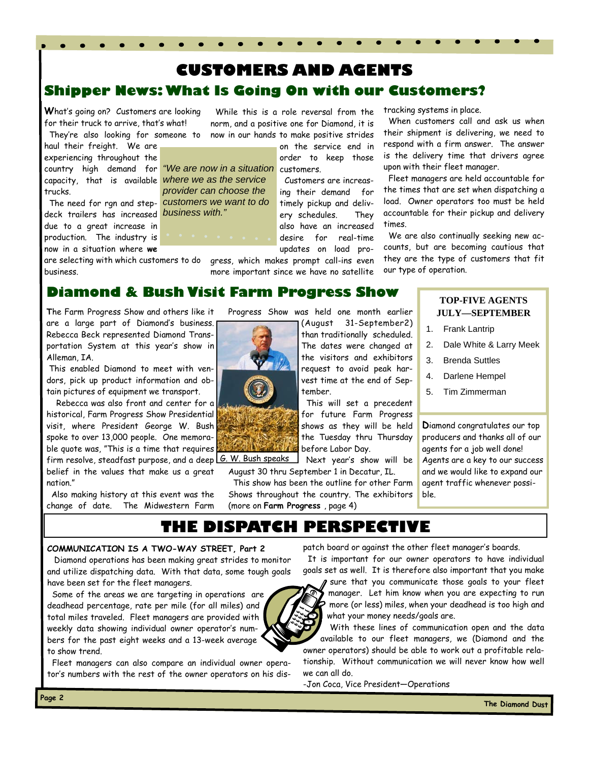# <span id="page-1-0"></span>**Shipper News: What Is Going On with our Customers? CUSTOMERS AND AGENTS**

**W**hat's going on? Customers are looking for their truck to arrive, that's what! They're also looking for someone to

haul their freight. We are experiencing throughout the country high demand for capacity, that is available trucks.

 The need for rgn and stepdeck trailers has increased *business with."*  due to a great increase in production. The industry is now in a situation where **we**

are selecting with which customers to do business.

 While this is a role reversal from the norm, and a positive one for Diamond, it is now in our hands to make positive strides

on the service end in order to keep those "We are now in a situation customers. Customers are increas*where we as the service* 

ing their demand for timely pickup and delivery schedules. They also have an increased desire for real-time updates on load pro-

gress, which makes prompt call-ins even more important since we have no satellite tracking systems in place.

 When customers call and ask us when their shipment is delivering, we need to respond with a firm answer. The answer is the delivery time that drivers agree upon with their fleet manager.

 Fleet managers are held accountable for the times that are set when dispatching a load. Owner operators too must be held accountable for their pickup and delivery times.

 We are also continually seeking new accounts, but are becoming cautious that they are the type of customers that fit our type of operation.

**Diamond & Bush Visit Farm Progress Show** 

*provider can choose the customers we want to do* 

**T**he Farm Progress Show and others like it are a large part of Diamond's business. Rebecca Beck represented Diamond Transportation System at this year's show in Alleman, IA.

 This enabled Diamond to meet with vendors, pick up product information and obtain pictures of equipment we transport.

 Rebecca was also front and center for a historical, Farm Progress Show Presidential visit, where President George W. Bush spoke to over 13,000 people. One memorable quote was, "This is a time that requires firm resolve, steadfast purpose, and a deep <u>[G. W. Bush speaks]</u> belief in the values that make us a great nation."

 Also making history at this event was the change of date. The Midwestern Farm Progress Show was held one month earlier

(August 31-September2) than traditionally scheduled. The dates were changed at the visitors and exhibitors request to avoid peak harvest time at the end of September.

 This will set a precedent for future Farm Progress shows as they will be held the Tuesday thru Thursday before Labor Day.

 Next year's show will be August 30 thru September 1 in Decatur, IL.

 This show has been the outline for other Farm Shows throughout the country. The exhibitors

we can all do.

**TOP-FIVE AGENTS JULY—SEPTEMBER** 

- 1. Frank Lantrip
- 2. Dale White & Larry Meek
- 3. Brenda Suttles
- 4. Darlene Hempel
- 5. Tim Zimmerman

**D**iamond congratulates our top producers and thanks all of our agents for a job well done! Agents are a key to our success and we would like to expand our agent traffic whenever possible.

**THE DISPATCH PERSPECTIVE** 

#### **COMMUNICATION IS A TWO-WAY STREET, Part 2**

Diamond operations has been making great strides to monitor and utilize dispatching data. With that data, some tough goals have been set for the fleet managers.

 Some of the areas we are targeting in operations are deadhead percentage, rate per mile (for all miles) and total miles traveled. Fleet managers are provided with weekly data showing individual owner operator's numbers for the past eight weeks and a 13-week average to show trend.

 Fleet managers can also compare an individual owner operator's numbers with the rest of the owner operators on his dispatch board or against the other fleet manager's boards.

 It is important for our owner operators to have individual goals set as well. It is therefore also important that you make

sure that you communicate those goals to your fleet manager. Let him know when you are expecting to run more (or less) miles, when your deadhead is too high and what your money needs/goals are.

 With these lines of communication open and the data available to our fleet managers, we (Diamond and the owner operators) should be able to work out a profitable relationship. Without communication we will never know how well

-Jon Coca, Vice President—Operations



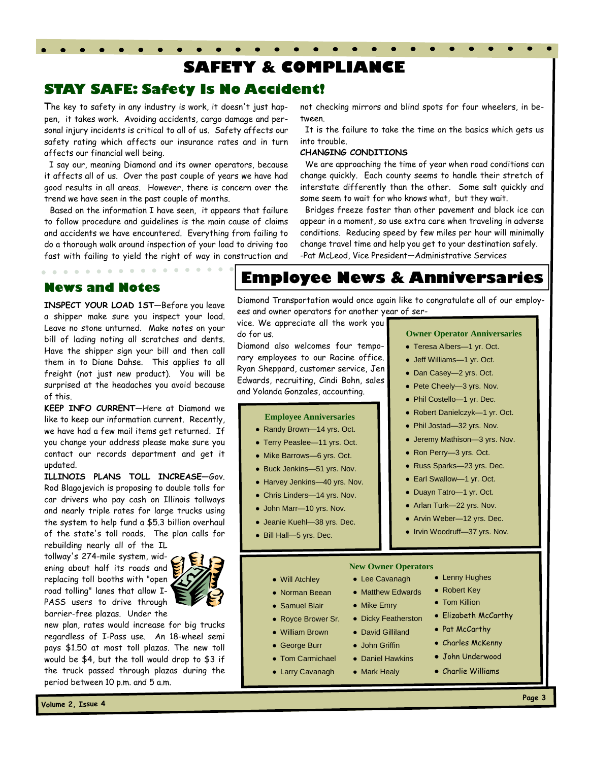# **SAFETY & COMPLIANCE**

### <span id="page-2-0"></span>**STAY SAFE: Safety Is No Accident!**

**T**he key to safety in any industry is work, it doesn't just happen, it takes work. Avoiding accidents, cargo damage and personal injury incidents is critical to all of us. Safety affects our safety rating which affects our insurance rates and in turn affects our financial well being.

 I say our, meaning Diamond and its owner operators, because it affects all of us. Over the past couple of years we have had good results in all areas. However, there is concern over the trend we have seen in the past couple of months.

 Based on the information I have seen, it appears that failure to follow procedure and guidelines is the main cause of claims and accidents we have encountered. Everything from failing to do a thorough walk around inspection of your load to driving too fast with failing to yield the right of way in construction and

 $\sim$   $\sim$ 

not checking mirrors and blind spots for four wheelers, in between.

 It is the failure to take the time on the basics which gets us into trouble.

#### **CHANGING CONDITIONS**

 We are approaching the time of year when road conditions can change quickly. Each county seems to handle their stretch of interstate differently than the other. Some salt quickly and some seem to wait for who knows what, but they wait.

 Bridges freeze faster than other pavement and black ice can appear in a moment, so use extra care when traveling in adverse conditions. Reducing speed by few miles per hour will minimally change travel time and help you get to your destination safely. -Pat McLeod, Vice President—Administrative Services

### **News and Notes**

 $\sim$ 

 $\begin{array}{cccccccccccccc} \bullet & \bullet & \bullet & \bullet & \bullet & \bullet & \bullet \end{array}$ 

**INSPECT YOUR LOAD 1ST—**Before you leave a shipper make sure you inspect your load. Leave no stone unturned. Make notes on your bill of lading noting all scratches and dents. Have the shipper sign your bill and then call them in to Diane Dahse. This applies to all freight (not just new product). You will be surprised at the headaches you avoid because of this.

**KEEP INFO CURRENT—**Here at Diamond we like to keep our information current. Recently, we have had a few mail items get returned. If you change your address please make sure you contact our records department and get it updated.

**ILLINOIS PLANS TOLL INCREASE—**Gov. Rod Blagojevich is proposing to double tolls for car drivers who pay cash on Illinois tollways and nearly triple rates for large trucks using the system to help fund a \$5.3 billion overhaul of the state's toll roads. The plan calls for rebuilding nearly all of the IL

tollway's 274-mile system, widening about half its roads and replacing toll booths with "open road tolling" lanes that allow I-PASS users to drive through barrier-free plazas. Under the

new plan, rates would increase for big trucks regardless of I-Pass use. An 18-wheel semi pays \$1.50 at most toll plazas. The new toll would be \$4, but the toll would drop to \$3 if the truck passed through plazas during the period between 10 p.m. and 5 a.m.

## **Employee News & Anniversaries**

Diamond Transportation would once again like to congratulate all of our employees and owner operators for another year of ser-

vice. We appreciate all the work you do for us.

Diamond also welcomes four temporary employees to our Racine office. Ryan Sheppard, customer service, Jen Edwards, recruiting, Cindi Bohn, sales and Yolanda Gonzales, accounting.

#### **Employee Anniversaries**

- Randy Brown—14 yrs. Oct.
- Terry Peaslee—11 yrs. Oct.
- Mike Barrows—6 yrs. Oct.
- Buck Jenkins—51 yrs. Nov.
- Harvey Jenkins-40 yrs. Nov.
- Chris Linders-14 yrs. Nov.
- John Marr-10 yrs. Nov.
- Jeanie Kuehl—38 yrs. Dec.

● Royce Brower Sr. ● William Brown ● George Burr ● Tom Carmichael ● Larry Cavanagh

● Bill Hall-5 yrs. Dec.

- **Owner Operator Anniversaries**
- Teresa Albers—1 yr. Oct.
- Jeff Williams—1 yr. Oct.
- Dan Casey-2 yrs. Oct.
- Pete Cheely—3 yrs. Nov.
- Phil Costello—1 yr. Dec.
- Robert Danielczyk—1 yr. Oct.
- Phil Jostad-32 yrs. Nov.
- Jeremy Mathison—3 yrs. Nov.
- Ron Perry—3 yrs. Oct.
- Russ Sparks—23 yrs. Dec.
- Earl Swallow-1 yr. Oct.
- Duayn Tatro—1 yr. Oct.
- Arlan Turk-22 yrs. Nov.
- Arvin Weber-12 yrs. Dec.
- Irvin Woodruff—37 yrs. Nov.

#### **New Owner Operators**

- Norman Beean • Matthew Edwards
	- Mike Emry
	- Dicky Featherston

● Lee Cavanagh

- David Gilliland
- John Griffin
- Daniel Hawkins
- Mark Healy
- Lenny Hughes
- Robert Key
- Tom Killion
- Elizabeth McCarthy
- Pat McCarthy
- Charles McKenny
- John Underwood
- Charlie Williams
- **Page 3**